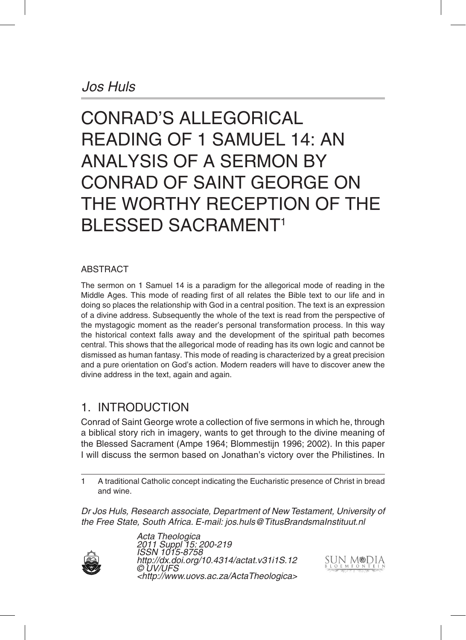# *Jos Huls*

# Conrad's Allegorical Reading of 1 Samuel 14: An analysis of a sermon by Conrad of Saint George on the worthy reception of the BLESSED SACRAMENT<sup>1</sup>

#### ABSTRACT

The sermon on 1 Samuel 14 is a paradigm for the allegorical mode of reading in the Middle Ages. This mode of reading first of all relates the Bible text to our life and in doing so places the relationship with God in a central position. The text is an expression of a divine address. Subsequently the whole of the text is read from the perspective of the mystagogic moment as the reader's personal transformation process. In this way the historical context falls away and the development of the spiritual path becomes central. This shows that the allegorical mode of reading has its own logic and cannot be dismissed as human fantasy. This mode of reading is characterized by a great precision and a pure orientation on God's action. Modern readers will have to discover anew the divine address in the text, again and again.

# 1. INTRODUCTION

Conrad of Saint George wrote a collection of five sermons in which he, through a biblical story rich in imagery, wants to get through to the divine meaning of the Blessed Sacrament (Ampe 1964; Blommestijn 1996; 2002). In this paper I will discuss the sermon based on Jonathan's victory over the Philistines. In

*Dr Jos Huls, Research associate, Department of New Testament, University of the Free State, South Africa. E-mail: jos.huls@TitusBrandsmaInstituut.nl*



*Acta Theologica 2011 Suppl 15: 200-219 ISSN 1015-8758 http://dx.doi.org/10.4314/actat.v31i1S.12 © UV/UFS <http://www.uovs.ac.za/ActaTheologica>*



<sup>1</sup> A traditional Catholic concept indicating the Eucharistic presence of Christ in bread and wine.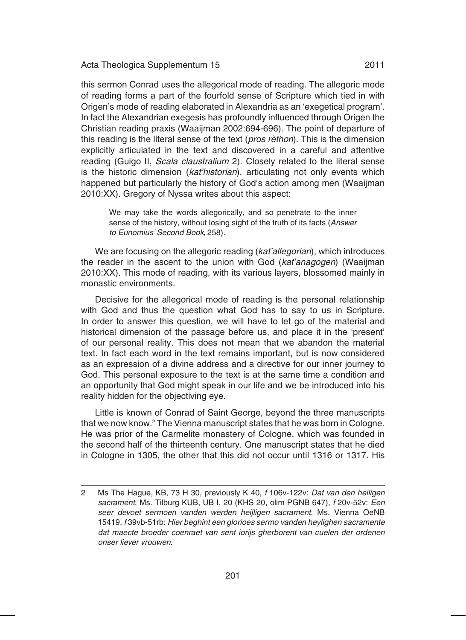this sermon Conrad uses the allegorical mode of reading. The allegoric mode of reading forms a part of the fourfold sense of Scripture which tied in with Origen's mode of reading elaborated in Alexandria as an 'exegetical program'. In fact the Alexandrian exegesis has profoundly influenced through Origen the Christian reading praxis (Waaijman 2002:694-696). The point of departure of this reading is the literal sense of the text (*pros rèthon*). This is the dimension explicitly articulated in the text and discovered in a careful and attentive reading (Guigo II, *Scala claustralium* 2). Closely related to the literal sense is the historic dimension (*kat'historian*), articulating not only events which happened but particularly the history of God's action among men (Waaijman 2010:XX). Gregory of Nyssa writes about this aspect:

We may take the words allegorically, and so penetrate to the inner sense of the history, without losing sight of the truth of its facts (*Answer to Eunomius' Second Book*, 258).

We are focusing on the allegoric reading (*kat'allegorian*), which introduces the reader in the ascent to the union with God (*kat'anagogen*) (Waaijman 2010:XX). This mode of reading, with its various layers, blossomed mainly in monastic environments.

Decisive for the allegorical mode of reading is the personal relationship with God and thus the question what God has to say to us in Scripture. In order to answer this question, we will have to let go of the material and historical dimension of the passage before us, and place it in the 'present' of our personal reality. This does not mean that we abandon the material text. In fact each word in the text remains important, but is now considered as an expression of a divine address and a directive for our inner journey to God. This personal exposure to the text is at the same time a condition and an opportunity that God might speak in our life and we be introduced into his reality hidden for the objectiving eye.

Little is known of Conrad of Saint George, beyond the three manuscripts that we now know.<sup>2</sup> The Vienna manuscript states that he was born in Cologne. He was prior of the Carmelite monastery of Cologne, which was founded in the second half of the thirteenth century. One manuscript states that he died in Cologne in 1305, the other that this did not occur until 1316 or 1317. His

<sup>2</sup> Ms The Hague, KB, 73 H 30, previously K 40, *f* 106v-122v: *Dat van den heiligen sacrament*. Ms. Tilburg KUB, UB I, 20 (KHS 20, olim PGNB 647), *f* 20v-52v: *Een seer devoet sermoen vanden werden heijligen sacrament*. Ms. Vienna OeNB 15419, *f* 39vb-51rb: *Hier beghint een glorioes sermo vanden heylighen sacramente dat maecte broeder coenraet van sent iorijs gherborent van cuelen der ordenen onser liever vrouwen*.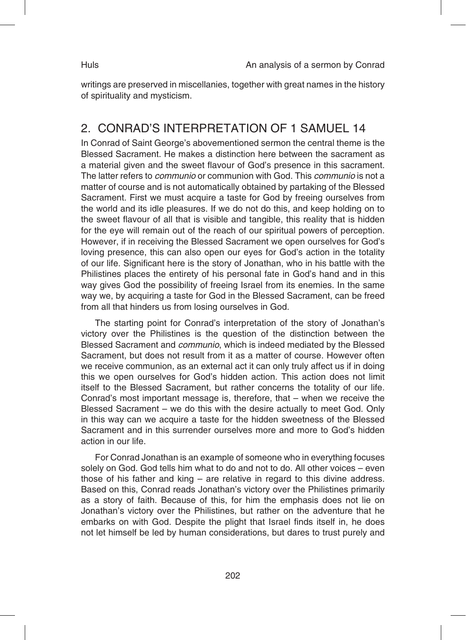# 2. CONRAD'S INTERPRETATION OF 1 SAMUEL 14

In Conrad of Saint George's abovementioned sermon the central theme is the Blessed Sacrament. He makes a distinction here between the sacrament as a material given and the sweet flavour of God's presence in this sacrament. The latter refers to *communio* or communion with God. This *communio* is not a matter of course and is not automatically obtained by partaking of the Blessed Sacrament. First we must acquire a taste for God by freeing ourselves from the world and its idle pleasures. If we do not do this, and keep holding on to the sweet flavour of all that is visible and tangible, this reality that is hidden for the eye will remain out of the reach of our spiritual powers of perception. However, if in receiving the Blessed Sacrament we open ourselves for God's loving presence, this can also open our eyes for God's action in the totality of our life. Significant here is the story of Jonathan, who in his battle with the Philistines places the entirety of his personal fate in God's hand and in this way gives God the possibility of freeing Israel from its enemies. In the same way we, by acquiring a taste for God in the Blessed Sacrament, can be freed from all that hinders us from losing ourselves in God.

The starting point for Conrad's interpretation of the story of Jonathan's victory over the Philistines is the question of the distinction between the Blessed Sacrament and *communio*, which is indeed mediated by the Blessed Sacrament, but does not result from it as a matter of course. However often we receive communion, as an external act it can only truly affect us if in doing this we open ourselves for God's hidden action. This action does not limit itself to the Blessed Sacrament, but rather concerns the totality of our life. Conrad's most important message is, therefore, that – when we receive the Blessed Sacrament – we do this with the desire actually to meet God. Only in this way can we acquire a taste for the hidden sweetness of the Blessed Sacrament and in this surrender ourselves more and more to God's hidden action in our life.

For Conrad Jonathan is an example of someone who in everything focuses solely on God. God tells him what to do and not to do. All other voices – even those of his father and king – are relative in regard to this divine address. Based on this, Conrad reads Jonathan's victory over the Philistines primarily as a story of faith. Because of this, for him the emphasis does not lie on Jonathan's victory over the Philistines, but rather on the adventure that he embarks on with God. Despite the plight that Israel finds itself in, he does not let himself be led by human considerations, but dares to trust purely and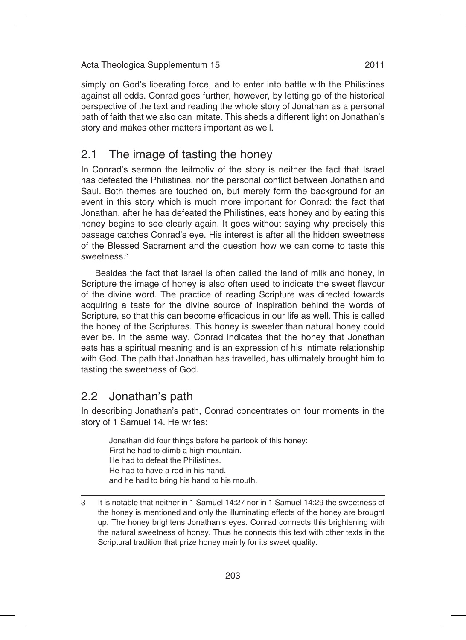simply on God's liberating force, and to enter into battle with the Philistines against all odds. Conrad goes further, however, by letting go of the historical perspective of the text and reading the whole story of Jonathan as a personal path of faith that we also can imitate. This sheds a different light on Jonathan's story and makes other matters important as well.

# 2.1 The image of tasting the honey

In Conrad's sermon the leitmotiv of the story is neither the fact that Israel has defeated the Philistines, nor the personal conflict between Jonathan and Saul. Both themes are touched on, but merely form the background for an event in this story which is much more important for Conrad: the fact that Jonathan, after he has defeated the Philistines, eats honey and by eating this honey begins to see clearly again. It goes without saying why precisely this passage catches Conrad's eye. His interest is after all the hidden sweetness of the Blessed Sacrament and the question how we can come to taste this sweetness<sup>3</sup>

Besides the fact that Israel is often called the land of milk and honey, in Scripture the image of honey is also often used to indicate the sweet flavour of the divine word. The practice of reading Scripture was directed towards acquiring a taste for the divine source of inspiration behind the words of Scripture, so that this can become efficacious in our life as well. This is called the honey of the Scriptures. This honey is sweeter than natural honey could ever be. In the same way, Conrad indicates that the honey that Jonathan eats has a spiritual meaning and is an expression of his intimate relationship with God. The path that Jonathan has travelled, has ultimately brought him to tasting the sweetness of God.

### 2.2 Jonathan's path

In describing Jonathan's path, Conrad concentrates on four moments in the story of 1 Samuel 14. He writes:

Jonathan did four things before he partook of this honey: First he had to climb a high mountain. He had to defeat the Philistines. He had to have a rod in his hand, and he had to bring his hand to his mouth.

<sup>3</sup> It is notable that neither in 1 Samuel 14:27 nor in 1 Samuel 14:29 the sweetness of the honey is mentioned and only the illuminating effects of the honey are brought up. The honey brightens Jonathan's eyes. Conrad connects this brightening with the natural sweetness of honey. Thus he connects this text with other texts in the Scriptural tradition that prize honey mainly for its sweet quality.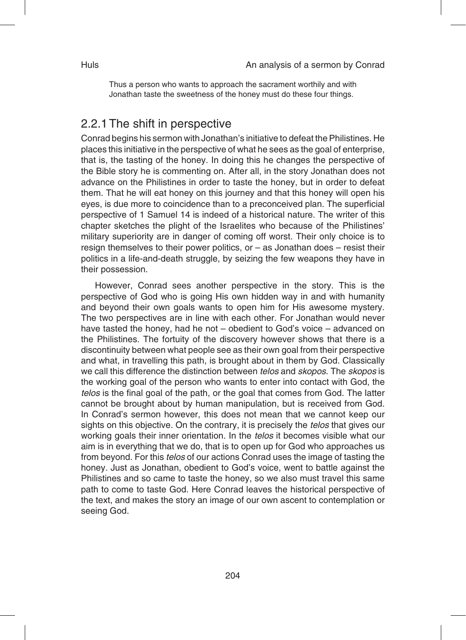Thus a person who wants to approach the sacrament worthily and with Jonathan taste the sweetness of the honey must do these four things.

#### 2.2.1The shift in perspective

Conrad begins his sermon with Jonathan's initiative to defeat the Philistines. He places this initiative in the perspective of what he sees as the goal of enterprise, that is, the tasting of the honey. In doing this he changes the perspective of the Bible story he is commenting on. After all, in the story Jonathan does not advance on the Philistines in order to taste the honey, but in order to defeat them. That he will eat honey on this journey and that this honey will open his eyes, is due more to coincidence than to a preconceived plan. The superficial perspective of 1 Samuel 14 is indeed of a historical nature. The writer of this chapter sketches the plight of the Israelites who because of the Philistines' military superiority are in danger of coming off worst. Their only choice is to resign themselves to their power politics, or  $-$  as Jonathan does  $-$  resist their politics in a life-and-death struggle, by seizing the few weapons they have in their possession.

However, Conrad sees another perspective in the story. This is the perspective of God who is going His own hidden way in and with humanity and beyond their own goals wants to open him for His awesome mystery. The two perspectives are in line with each other. For Jonathan would never have tasted the honey, had he not – obedient to God's voice – advanced on the Philistines. The fortuity of the discovery however shows that there is a discontinuity between what people see as their own goal from their perspective and what, in travelling this path, is brought about in them by God. Classically we call this difference the distinction between *telos* and *skopos*. The *skopos* is the working goal of the person who wants to enter into contact with God, the *telos* is the final goal of the path, or the goal that comes from God. The latter cannot be brought about by human manipulation, but is received from God. In Conrad's sermon however, this does not mean that we cannot keep our sights on this objective. On the contrary, it is precisely the *telos* that gives our working goals their inner orientation. In the *telos* it becomes visible what our aim is in everything that we do, that is to open up for God who approaches us from beyond. For this *telos* of our actions Conrad uses the image of tasting the honey. Just as Jonathan, obedient to God's voice, went to battle against the Philistines and so came to taste the honey, so we also must travel this same path to come to taste God. Here Conrad leaves the historical perspective of the text, and makes the story an image of our own ascent to contemplation or seeing God.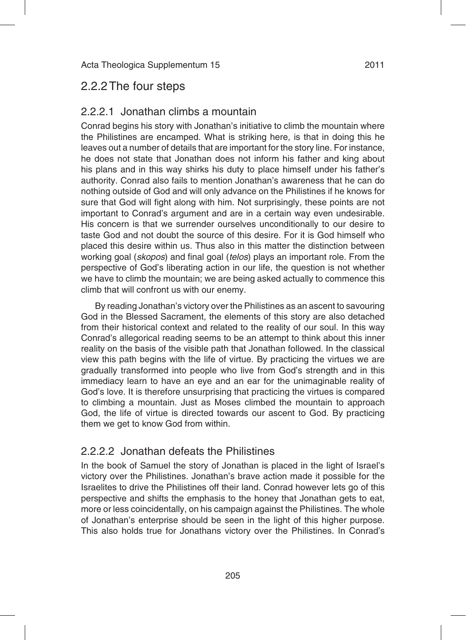#### 2.2.2The four steps

#### 2.2.2.1 Jonathan climbs a mountain

Conrad begins his story with Jonathan's initiative to climb the mountain where the Philistines are encamped. What is striking here, is that in doing this he leaves out a number of details that are important for the story line. For instance, he does not state that Jonathan does not inform his father and king about his plans and in this way shirks his duty to place himself under his father's authority. Conrad also fails to mention Jonathan's awareness that he can do nothing outside of God and will only advance on the Philistines if he knows for sure that God will fight along with him. Not surprisingly, these points are not important to Conrad's argument and are in a certain way even undesirable. His concern is that we surrender ourselves unconditionally to our desire to taste God and not doubt the source of this desire. For it is God himself who placed this desire within us. Thus also in this matter the distinction between working goal (*skopos*) and final goal (*telos*) plays an important role. From the perspective of God's liberating action in our life, the question is not whether we have to climb the mountain; we are being asked actually to commence this climb that will confront us with our enemy.

By reading Jonathan's victory over the Philistines as an ascent to savouring God in the Blessed Sacrament, the elements of this story are also detached from their historical context and related to the reality of our soul. In this way Conrad's allegorical reading seems to be an attempt to think about this inner reality on the basis of the visible path that Jonathan followed. In the classical view this path begins with the life of virtue. By practicing the virtues we are gradually transformed into people who live from God's strength and in this immediacy learn to have an eye and an ear for the unimaginable reality of God's love. It is therefore unsurprising that practicing the virtues is compared to climbing a mountain. Just as Moses climbed the mountain to approach God, the life of virtue is directed towards our ascent to God. By practicing them we get to know God from within.

#### 2.2.2.2 Jonathan defeats the Philistines

In the book of Samuel the story of Jonathan is placed in the light of Israel's victory over the Philistines. Jonathan's brave action made it possible for the Israelites to drive the Philistines off their land. Conrad however lets go of this perspective and shifts the emphasis to the honey that Jonathan gets to eat, more or less coincidentally, on his campaign against the Philistines. The whole of Jonathan's enterprise should be seen in the light of this higher purpose. This also holds true for Jonathans victory over the Philistines. In Conrad's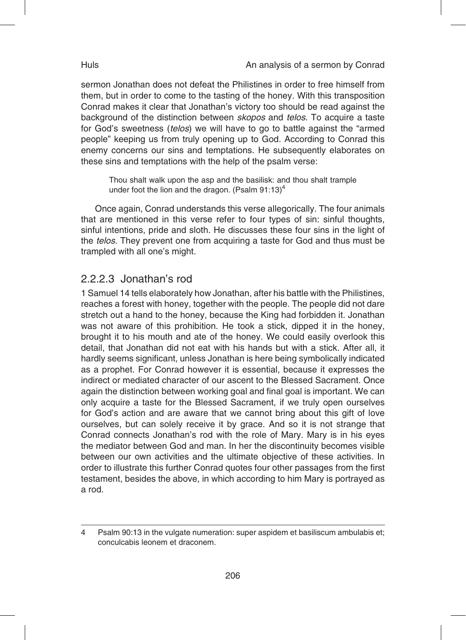sermon Jonathan does not defeat the Philistines in order to free himself from them, but in order to come to the tasting of the honey. With this transposition Conrad makes it clear that Jonathan's victory too should be read against the background of the distinction between *skopos* and *telos*. To acquire a taste for God's sweetness (*telos*) we will have to go to battle against the "armed people" keeping us from truly opening up to God. According to Conrad this enemy concerns our sins and temptations. He subsequently elaborates on these sins and temptations with the help of the psalm verse:

Thou shalt walk upon the asp and the basilisk: and thou shalt trample under foot the lion and the dragon. (Psalm  $91:13$ )<sup>4</sup>

Once again, Conrad understands this verse allegorically. The four animals that are mentioned in this verse refer to four types of sin: sinful thoughts, sinful intentions, pride and sloth. He discusses these four sins in the light of the *telos*. They prevent one from acquiring a taste for God and thus must be trampled with all one's might.

#### 2.2.2.3 Jonathan's rod

1 Samuel 14 tells elaborately how Jonathan, after his battle with the Philistines, reaches a forest with honey, together with the people. The people did not dare stretch out a hand to the honey, because the King had forbidden it. Jonathan was not aware of this prohibition. He took a stick, dipped it in the honey, brought it to his mouth and ate of the honey. We could easily overlook this detail, that Jonathan did not eat with his hands but with a stick. After all, it hardly seems significant, unless Jonathan is here being symbolically indicated as a prophet. For Conrad however it is essential, because it expresses the indirect or mediated character of our ascent to the Blessed Sacrament. Once again the distinction between working goal and final goal is important. We can only acquire a taste for the Blessed Sacrament, if we truly open ourselves for God's action and are aware that we cannot bring about this gift of love ourselves, but can solely receive it by grace. And so it is not strange that Conrad connects Jonathan's rod with the role of Mary. Mary is in his eyes the mediator between God and man. In her the discontinuity becomes visible between our own activities and the ultimate objective of these activities. In order to illustrate this further Conrad quotes four other passages from the first testament, besides the above, in which according to him Mary is portrayed as a rod.

<sup>4</sup> Psalm 90:13 in the vulgate numeration: super aspidem et basiliscum ambulabis et; conculcabis leonem et draconem.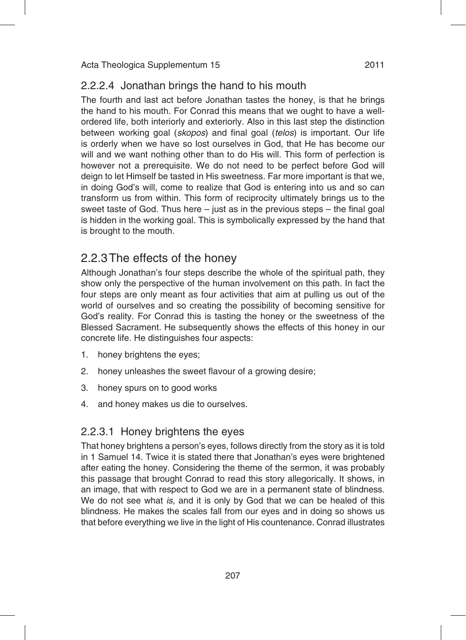#### 2.2.2.4 Jonathan brings the hand to his mouth

The fourth and last act before Jonathan tastes the honey, is that he brings the hand to his mouth. For Conrad this means that we ought to have a wellordered life, both interiorly and exteriorly. Also in this last step the distinction between working goal (*skopos*) and final goal (*telos*) is important. Our life is orderly when we have so lost ourselves in God, that He has become our will and we want nothing other than to do His will. This form of perfection is however not a prerequisite. We do not need to be perfect before God will deign to let Himself be tasted in His sweetness. Far more important is that we, in doing God's will, come to realize that God is entering into us and so can transform us from within. This form of reciprocity ultimately brings us to the sweet taste of God. Thus here – just as in the previous steps – the final goal is hidden in the working goal. This is symbolically expressed by the hand that is brought to the mouth.

# 2.2.3The effects of the honey

Although Jonathan's four steps describe the whole of the spiritual path, they show only the perspective of the human involvement on this path. In fact the four steps are only meant as four activities that aim at pulling us out of the world of ourselves and so creating the possibility of becoming sensitive for God's reality. For Conrad this is tasting the honey or the sweetness of the Blessed Sacrament. He subsequently shows the effects of this honey in our concrete life. He distinguishes four aspects:

- 1. honey brightens the eyes;
- 2. honey unleashes the sweet flavour of a growing desire;
- 3. honey spurs on to good works
- 4. and honey makes us die to ourselves.

#### 2.2.3.1 Honey brightens the eyes

That honey brightens a person's eyes, follows directly from the story as it is told in 1 Samuel 14. Twice it is stated there that Jonathan's eyes were brightened after eating the honey. Considering the theme of the sermon, it was probably this passage that brought Conrad to read this story allegorically. It shows, in an image, that with respect to God we are in a permanent state of blindness. We do not see what *is*, and it is only by God that we can be healed of this blindness. He makes the scales fall from our eyes and in doing so shows us that before everything we live in the light of His countenance. Conrad illustrates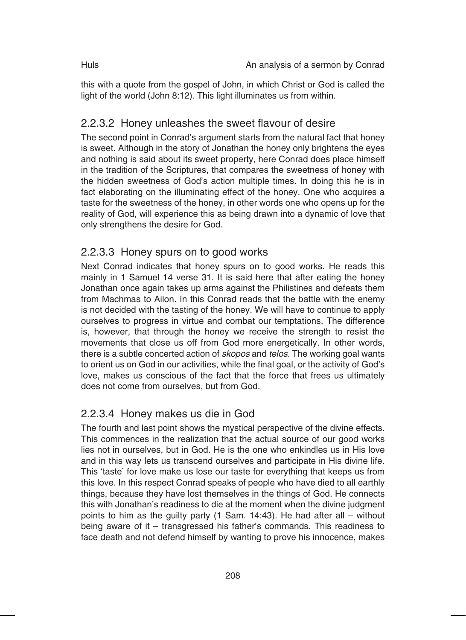this with a quote from the gospel of John, in which Christ or God is called the light of the world (John 8:12). This light illuminates us from within.

#### 2.2.3.2 Honey unleashes the sweet flavour of desire

The second point in Conrad's argument starts from the natural fact that honey is sweet. Although in the story of Jonathan the honey only brightens the eyes and nothing is said about its sweet property, here Conrad does place himself in the tradition of the Scriptures, that compares the sweetness of honey with the hidden sweetness of God's action multiple times. In doing this he is in fact elaborating on the illuminating effect of the honey. One who acquires a taste for the sweetness of the honey, in other words one who opens up for the reality of God, will experience this as being drawn into a dynamic of love that only strengthens the desire for God.

# 2.2.3.3 Honey spurs on to good works

Next Conrad indicates that honey spurs on to good works. He reads this mainly in 1 Samuel 14 verse 31. It is said here that after eating the honey Jonathan once again takes up arms against the Philistines and defeats them from Machmas to Ailon. In this Conrad reads that the battle with the enemy is not decided with the tasting of the honey. We will have to continue to apply ourselves to progress in virtue and combat our temptations. The difference is, however, that through the honey we receive the strength to resist the movements that close us off from God more energetically. In other words, there is a subtle concerted action of *skopos* and *telos*. The working goal wants to orient us on God in our activities, while the final goal, or the activity of God's love, makes us conscious of the fact that the force that frees us ultimately does not come from ourselves, but from God.

# 2.2.3.4 Honey makes us die in God

The fourth and last point shows the mystical perspective of the divine effects. This commences in the realization that the actual source of our good works lies not in ourselves, but in God. He is the one who enkindles us in His love and in this way lets us transcend ourselves and participate in His divine life. This 'taste' for love make us lose our taste for everything that keeps us from this love. In this respect Conrad speaks of people who have died to all earthly things, because they have lost themselves in the things of God. He connects this with Jonathan's readiness to die at the moment when the divine judgment points to him as the guilty party (1 Sam. 14:43). He had after all – without being aware of it – transgressed his father's commands. This readiness to face death and not defend himself by wanting to prove his innocence, makes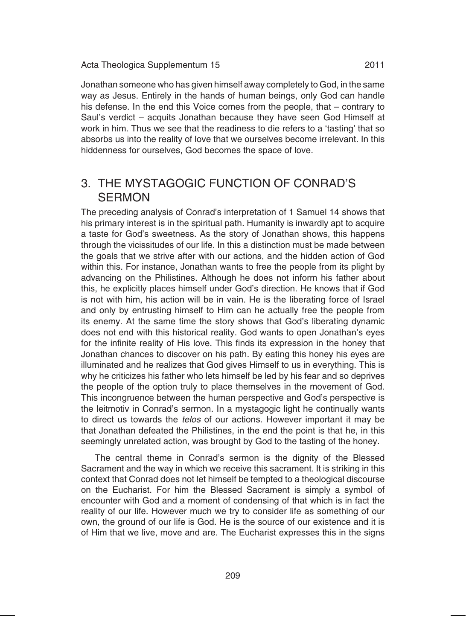Jonathan someone who has given himself away completely to God, in the same way as Jesus. Entirely in the hands of human beings, only God can handle his defense. In the end this Voice comes from the people, that – contrary to Saul's verdict – acquits Jonathan because they have seen God Himself at work in him. Thus we see that the readiness to die refers to a 'tasting' that so absorbs us into the reality of love that we ourselves become irrelevant. In this hiddenness for ourselves, God becomes the space of love.

# 3. THE MYSTAGOGIC FUNCTION OF CONRAD'S **SERMON**

The preceding analysis of Conrad's interpretation of 1 Samuel 14 shows that his primary interest is in the spiritual path. Humanity is inwardly apt to acquire a taste for God's sweetness. As the story of Jonathan shows, this happens through the vicissitudes of our life. In this a distinction must be made between the goals that we strive after with our actions, and the hidden action of God within this. For instance, Jonathan wants to free the people from its plight by advancing on the Philistines. Although he does not inform his father about this, he explicitly places himself under God's direction. He knows that if God is not with him, his action will be in vain. He is the liberating force of Israel and only by entrusting himself to Him can he actually free the people from its enemy. At the same time the story shows that God's liberating dynamic does not end with this historical reality. God wants to open Jonathan's eyes for the infinite reality of His love. This finds its expression in the honey that Jonathan chances to discover on his path. By eating this honey his eyes are illuminated and he realizes that God gives Himself to us in everything. This is why he criticizes his father who lets himself be led by his fear and so deprives the people of the option truly to place themselves in the movement of God. This incongruence between the human perspective and God's perspective is the leitmotiv in Conrad's sermon. In a mystagogic light he continually wants to direct us towards the *telos* of our actions. However important it may be that Jonathan defeated the Philistines, in the end the point is that he, in this seemingly unrelated action, was brought by God to the tasting of the honey.

The central theme in Conrad's sermon is the dignity of the Blessed Sacrament and the way in which we receive this sacrament. It is striking in this context that Conrad does not let himself be tempted to a theological discourse on the Eucharist. For him the Blessed Sacrament is simply a symbol of encounter with God and a moment of condensing of that which is in fact the reality of our life. However much we try to consider life as something of our own, the ground of our life is God. He is the source of our existence and it is of Him that we live, move and are. The Eucharist expresses this in the signs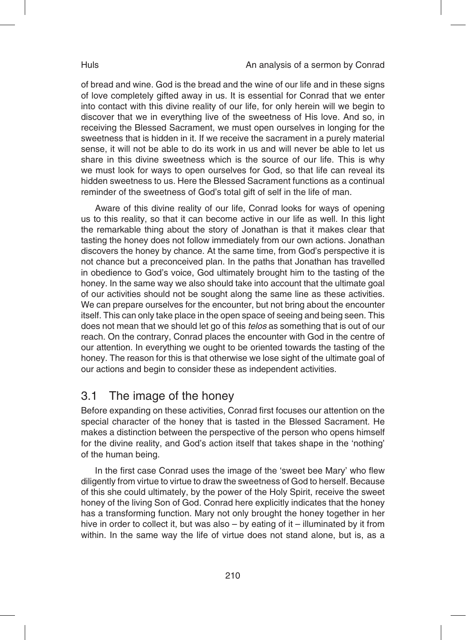of bread and wine. God is the bread and the wine of our life and in these signs of love completely gifted away in us. It is essential for Conrad that we enter into contact with this divine reality of our life, for only herein will we begin to discover that we in everything live of the sweetness of His love. And so, in receiving the Blessed Sacrament, we must open ourselves in longing for the sweetness that is hidden in it. If we receive the sacrament in a purely material sense, it will not be able to do its work in us and will never be able to let us share in this divine sweetness which is the source of our life. This is why we must look for ways to open ourselves for God, so that life can reveal its hidden sweetness to us. Here the Blessed Sacrament functions as a continual reminder of the sweetness of God's total gift of self in the life of man.

Aware of this divine reality of our life, Conrad looks for ways of opening us to this reality, so that it can become active in our life as well. In this light the remarkable thing about the story of Jonathan is that it makes clear that tasting the honey does not follow immediately from our own actions. Jonathan discovers the honey by chance. At the same time, from God's perspective it is not chance but a preconceived plan. In the paths that Jonathan has travelled in obedience to God's voice, God ultimately brought him to the tasting of the honey. In the same way we also should take into account that the ultimate goal of our activities should not be sought along the same line as these activities. We can prepare ourselves for the encounter, but not bring about the encounter itself. This can only take place in the open space of seeing and being seen. This does not mean that we should let go of this *telos* as something that is out of our reach. On the contrary, Conrad places the encounter with God in the centre of our attention. In everything we ought to be oriented towards the tasting of the honey. The reason for this is that otherwise we lose sight of the ultimate goal of our actions and begin to consider these as independent activities.

### 3.1 The image of the honey

Before expanding on these activities, Conrad first focuses our attention on the special character of the honey that is tasted in the Blessed Sacrament. He makes a distinction between the perspective of the person who opens himself for the divine reality, and God's action itself that takes shape in the 'nothing' of the human being.

In the first case Conrad uses the image of the 'sweet bee Mary' who flew diligently from virtue to virtue to draw the sweetness of God to herself. Because of this she could ultimately, by the power of the Holy Spirit, receive the sweet honey of the living Son of God. Conrad here explicitly indicates that the honey has a transforming function. Mary not only brought the honey together in her hive in order to collect it, but was also – by eating of it – illuminated by it from within. In the same way the life of virtue does not stand alone, but is, as a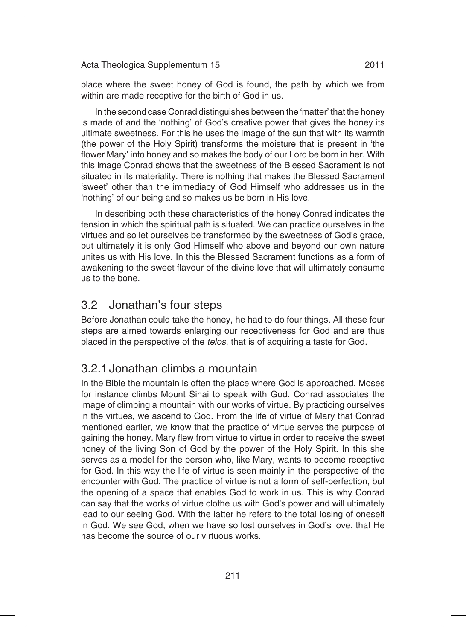place where the sweet honey of God is found, the path by which we from within are made receptive for the birth of God in us.

In the second case Conrad distinguishes between the 'matter' that the honey is made of and the 'nothing' of God's creative power that gives the honey its ultimate sweetness. For this he uses the image of the sun that with its warmth (the power of the Holy Spirit) transforms the moisture that is present in 'the flower Mary' into honey and so makes the body of our Lord be born in her. With this image Conrad shows that the sweetness of the Blessed Sacrament is not situated in its materiality. There is nothing that makes the Blessed Sacrament 'sweet' other than the immediacy of God Himself who addresses us in the 'nothing' of our being and so makes us be born in His love.

In describing both these characteristics of the honey Conrad indicates the tension in which the spiritual path is situated. We can practice ourselves in the virtues and so let ourselves be transformed by the sweetness of God's grace, but ultimately it is only God Himself who above and beyond our own nature unites us with His love. In this the Blessed Sacrament functions as a form of awakening to the sweet flavour of the divine love that will ultimately consume us to the bone.

### 3.2 Jonathan's four steps

Before Jonathan could take the honey, he had to do four things. All these four steps are aimed towards enlarging our receptiveness for God and are thus placed in the perspective of the *telos*, that is of acquiring a taste for God.

### 3.2.1Jonathan climbs a mountain

In the Bible the mountain is often the place where God is approached. Moses for instance climbs Mount Sinai to speak with God. Conrad associates the image of climbing a mountain with our works of virtue. By practicing ourselves in the virtues, we ascend to God. From the life of virtue of Mary that Conrad mentioned earlier, we know that the practice of virtue serves the purpose of gaining the honey. Mary flew from virtue to virtue in order to receive the sweet honey of the living Son of God by the power of the Holy Spirit. In this she serves as a model for the person who, like Mary, wants to become receptive for God. In this way the life of virtue is seen mainly in the perspective of the encounter with God. The practice of virtue is not a form of self-perfection, but the opening of a space that enables God to work in us. This is why Conrad can say that the works of virtue clothe us with God's power and will ultimately lead to our seeing God. With the latter he refers to the total losing of oneself in God. We see God, when we have so lost ourselves in God's love, that He has become the source of our virtuous works.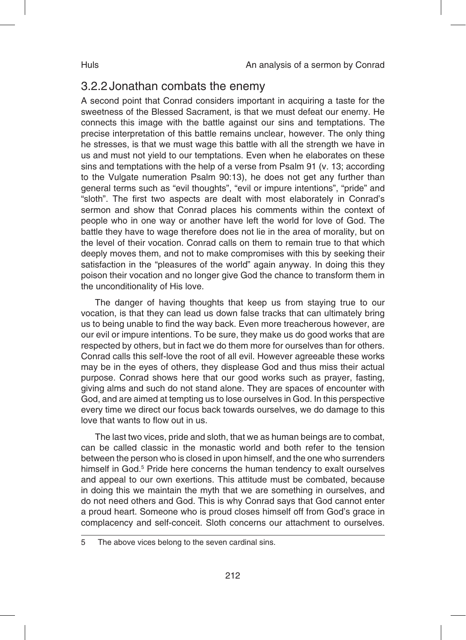#### 3.2.2Jonathan combats the enemy

A second point that Conrad considers important in acquiring a taste for the sweetness of the Blessed Sacrament, is that we must defeat our enemy. He connects this image with the battle against our sins and temptations. The precise interpretation of this battle remains unclear, however. The only thing he stresses, is that we must wage this battle with all the strength we have in us and must not yield to our temptations. Even when he elaborates on these sins and temptations with the help of a verse from Psalm 91 (v. 13; according to the Vulgate numeration Psalm 90:13), he does not get any further than general terms such as "evil thoughts", "evil or impure intentions", "pride" and "sloth". The first two aspects are dealt with most elaborately in Conrad's sermon and show that Conrad places his comments within the context of people who in one way or another have left the world for love of God. The battle they have to wage therefore does not lie in the area of morality, but on the level of their vocation. Conrad calls on them to remain true to that which deeply moves them, and not to make compromises with this by seeking their satisfaction in the "pleasures of the world" again anyway. In doing this they poison their vocation and no longer give God the chance to transform them in the unconditionality of His love.

The danger of having thoughts that keep us from staying true to our vocation, is that they can lead us down false tracks that can ultimately bring us to being unable to find the way back. Even more treacherous however, are our evil or impure intentions. To be sure, they make us do good works that are respected by others, but in fact we do them more for ourselves than for others. Conrad calls this self-love the root of all evil. However agreeable these works may be in the eyes of others, they displease God and thus miss their actual purpose. Conrad shows here that our good works such as prayer, fasting, giving alms and such do not stand alone. They are spaces of encounter with God, and are aimed at tempting us to lose ourselves in God. In this perspective every time we direct our focus back towards ourselves, we do damage to this love that wants to flow out in us.

The last two vices, pride and sloth, that we as human beings are to combat, can be called classic in the monastic world and both refer to the tension between the person who is closed in upon himself, and the one who surrenders himself in God.<sup>5</sup> Pride here concerns the human tendency to exalt ourselves and appeal to our own exertions. This attitude must be combated, because in doing this we maintain the myth that we are something in ourselves, and do not need others and God. This is why Conrad says that God cannot enter a proud heart. Someone who is proud closes himself off from God's grace in complacency and self-conceit. Sloth concerns our attachment to ourselves.

<sup>5</sup> The above vices belong to the seven cardinal sins.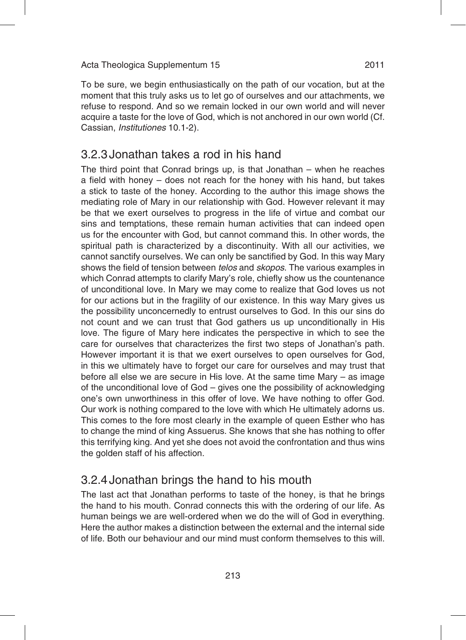To be sure, we begin enthusiastically on the path of our vocation, but at the moment that this truly asks us to let go of ourselves and our attachments, we refuse to respond. And so we remain locked in our own world and will never acquire a taste for the love of God, which is not anchored in our own world (Cf. Cassian, *Institutiones* 10.1-2).

#### 3.2.3Jonathan takes a rod in his hand

The third point that Conrad brings up, is that Jonathan – when he reaches a field with honey – does not reach for the honey with his hand, but takes a stick to taste of the honey. According to the author this image shows the mediating role of Mary in our relationship with God. However relevant it may be that we exert ourselves to progress in the life of virtue and combat our sins and temptations, these remain human activities that can indeed open us for the encounter with God, but cannot command this. In other words, the spiritual path is characterized by a discontinuity. With all our activities, we cannot sanctify ourselves. We can only be sanctified by God. In this way Mary shows the field of tension between *telos* and *skopos*. The various examples in which Conrad attempts to clarify Mary's role, chiefly show us the countenance of unconditional love. In Mary we may come to realize that God loves us not for our actions but in the fragility of our existence. In this way Mary gives us the possibility unconcernedly to entrust ourselves to God. In this our sins do not count and we can trust that God gathers us up unconditionally in His love. The figure of Mary here indicates the perspective in which to see the care for ourselves that characterizes the first two steps of Jonathan's path. However important it is that we exert ourselves to open ourselves for God, in this we ultimately have to forget our care for ourselves and may trust that before all else we are secure in His love. At the same time Mary – as image of the unconditional love of God – gives one the possibility of acknowledging one's own unworthiness in this offer of love. We have nothing to offer God. Our work is nothing compared to the love with which He ultimately adorns us. This comes to the fore most clearly in the example of queen Esther who has to change the mind of king Assuerus. She knows that she has nothing to offer this terrifying king. And yet she does not avoid the confrontation and thus wins the golden staff of his affection.

### 3.2.4Jonathan brings the hand to his mouth

The last act that Jonathan performs to taste of the honey, is that he brings the hand to his mouth. Conrad connects this with the ordering of our life. As human beings we are well-ordered when we do the will of God in everything. Here the author makes a distinction between the external and the internal side of life. Both our behaviour and our mind must conform themselves to this will.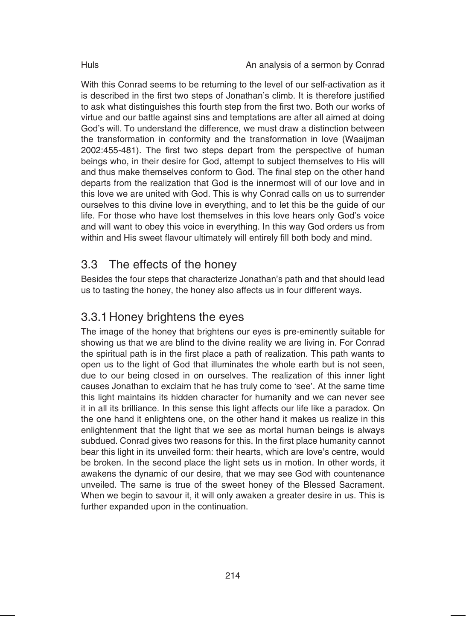With this Conrad seems to be returning to the level of our self-activation as it is described in the first two steps of Jonathan's climb. It is therefore justified to ask what distinguishes this fourth step from the first two. Both our works of virtue and our battle against sins and temptations are after all aimed at doing God's will. To understand the difference, we must draw a distinction between the transformation in conformity and the transformation in love (Waaijman 2002:455-481). The first two steps depart from the perspective of human beings who, in their desire for God, attempt to subject themselves to His will and thus make themselves conform to God. The final step on the other hand departs from the realization that God is the innermost will of our love and in this love we are united with God. This is why Conrad calls on us to surrender ourselves to this divine love in everything, and to let this be the guide of our life. For those who have lost themselves in this love hears only God's voice and will want to obey this voice in everything. In this way God orders us from within and His sweet flavour ultimately will entirely fill both body and mind.

# 3.3 The effects of the honey

Besides the four steps that characterize Jonathan's path and that should lead us to tasting the honey, the honey also affects us in four different ways.

# 3.3.1Honey brightens the eyes

The image of the honey that brightens our eyes is pre-eminently suitable for showing us that we are blind to the divine reality we are living in. For Conrad the spiritual path is in the first place a path of realization. This path wants to open us to the light of God that illuminates the whole earth but is not seen, due to our being closed in on ourselves. The realization of this inner light causes Jonathan to exclaim that he has truly come to 'see'. At the same time this light maintains its hidden character for humanity and we can never see it in all its brilliance. In this sense this light affects our life like a paradox. On the one hand it enlightens one, on the other hand it makes us realize in this enlightenment that the light that we see as mortal human beings is always subdued. Conrad gives two reasons for this. In the first place humanity cannot bear this light in its unveiled form: their hearts, which are love's centre, would be broken. In the second place the light sets us in motion. In other words, it awakens the dynamic of our desire, that we may see God with countenance unveiled. The same is true of the sweet honey of the Blessed Sacrament. When we begin to savour it, it will only awaken a greater desire in us. This is further expanded upon in the continuation.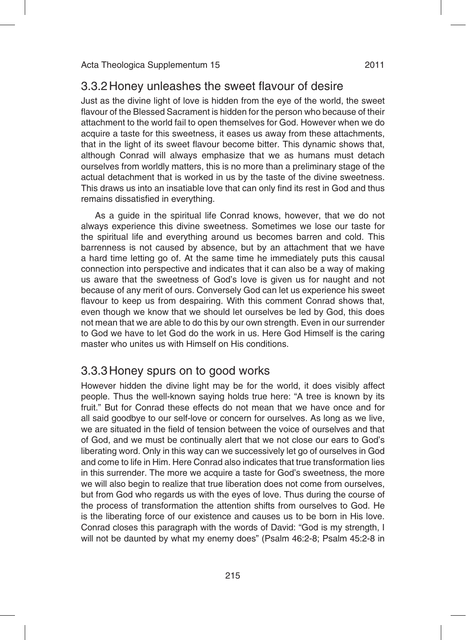#### 3.3.2Honey unleashes the sweet flavour of desire

Just as the divine light of love is hidden from the eye of the world, the sweet flavour of the Blessed Sacrament is hidden for the person who because of their attachment to the world fail to open themselves for God. However when we do acquire a taste for this sweetness, it eases us away from these attachments, that in the light of its sweet flavour become bitter. This dynamic shows that, although Conrad will always emphasize that we as humans must detach ourselves from worldly matters, this is no more than a preliminary stage of the actual detachment that is worked in us by the taste of the divine sweetness. This draws us into an insatiable love that can only find its rest in God and thus remains dissatisfied in everything.

As a guide in the spiritual life Conrad knows, however, that we do not always experience this divine sweetness. Sometimes we lose our taste for the spiritual life and everything around us becomes barren and cold. This barrenness is not caused by absence, but by an attachment that we have a hard time letting go of. At the same time he immediately puts this causal connection into perspective and indicates that it can also be a way of making us aware that the sweetness of God's love is given us for naught and not because of any merit of ours. Conversely God can let us experience his sweet flavour to keep us from despairing. With this comment Conrad shows that, even though we know that we should let ourselves be led by God, this does not mean that we are able to do this by our own strength. Even in our surrender to God we have to let God do the work in us. Here God Himself is the caring master who unites us with Himself on His conditions.

#### 3.3.3Honey spurs on to good works

However hidden the divine light may be for the world, it does visibly affect people. Thus the well-known saying holds true here: "A tree is known by its fruit." But for Conrad these effects do not mean that we have once and for all said goodbye to our self-love or concern for ourselves. As long as we live, we are situated in the field of tension between the voice of ourselves and that of God, and we must be continually alert that we not close our ears to God's liberating word. Only in this way can we successively let go of ourselves in God and come to life in Him. Here Conrad also indicates that true transformation lies in this surrender. The more we acquire a taste for God's sweetness, the more we will also begin to realize that true liberation does not come from ourselves, but from God who regards us with the eyes of love. Thus during the course of the process of transformation the attention shifts from ourselves to God. He is the liberating force of our existence and causes us to be born in His love. Conrad closes this paragraph with the words of David: "God is my strength, I will not be daunted by what my enemy does" (Psalm 46:2-8; Psalm 45:2-8 in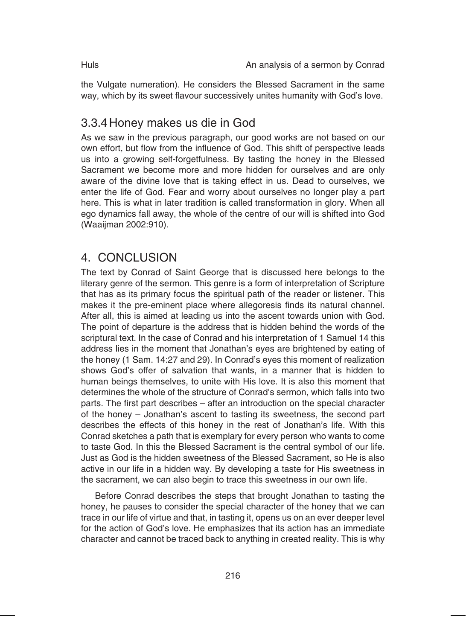the Vulgate numeration). He considers the Blessed Sacrament in the same way, which by its sweet flavour successively unites humanity with God's love.

# 3.3.4Honey makes us die in God

As we saw in the previous paragraph, our good works are not based on our own effort, but flow from the influence of God. This shift of perspective leads us into a growing self-forgetfulness. By tasting the honey in the Blessed Sacrament we become more and more hidden for ourselves and are only aware of the divine love that is taking effect in us. Dead to ourselves, we enter the life of God. Fear and worry about ourselves no longer play a part here. This is what in later tradition is called transformation in glory. When all ego dynamics fall away, the whole of the centre of our will is shifted into God (Waaijman 2002:910).

# 4. CONCLUSION

The text by Conrad of Saint George that is discussed here belongs to the literary genre of the sermon. This genre is a form of interpretation of Scripture that has as its primary focus the spiritual path of the reader or listener. This makes it the pre-eminent place where allegoresis finds its natural channel. After all, this is aimed at leading us into the ascent towards union with God. The point of departure is the address that is hidden behind the words of the scriptural text. In the case of Conrad and his interpretation of 1 Samuel 14 this address lies in the moment that Jonathan's eyes are brightened by eating of the honey (1 Sam. 14:27 and 29). In Conrad's eyes this moment of realization shows God's offer of salvation that wants, in a manner that is hidden to human beings themselves, to unite with His love. It is also this moment that determines the whole of the structure of Conrad's sermon, which falls into two parts. The first part describes – after an introduction on the special character of the honey – Jonathan's ascent to tasting its sweetness, the second part describes the effects of this honey in the rest of Jonathan's life. With this Conrad sketches a path that is exemplary for every person who wants to come to taste God. In this the Blessed Sacrament is the central symbol of our life. Just as God is the hidden sweetness of the Blessed Sacrament, so He is also active in our life in a hidden way. By developing a taste for His sweetness in the sacrament, we can also begin to trace this sweetness in our own life.

Before Conrad describes the steps that brought Jonathan to tasting the honey, he pauses to consider the special character of the honey that we can trace in our life of virtue and that, in tasting it, opens us on an ever deeper level for the action of God's love. He emphasizes that its action has an immediate character and cannot be traced back to anything in created reality. This is why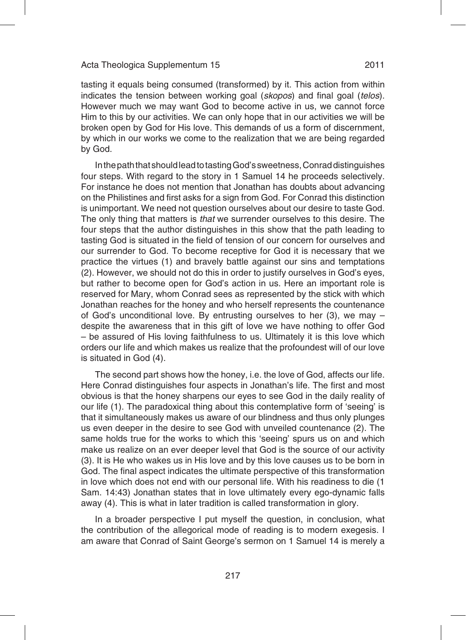tasting it equals being consumed (transformed) by it. This action from within indicates the tension between working goal (*skopos*) and final goal (*telos*). However much we may want God to become active in us, we cannot force Him to this by our activities. We can only hope that in our activities we will be broken open by God for His love. This demands of us a form of discernment, by which in our works we come to the realization that we are being regarded by God.

In the path that should lead to tasting God's sweetness, Conrad distinguishes four steps. With regard to the story in 1 Samuel 14 he proceeds selectively. For instance he does not mention that Jonathan has doubts about advancing on the Philistines and first asks for a sign from God. For Conrad this distinction is unimportant. We need not question ourselves about our desire to taste God. The only thing that matters is *that* we surrender ourselves to this desire. The four steps that the author distinguishes in this show that the path leading to tasting God is situated in the field of tension of our concern for ourselves and our surrender to God. To become receptive for God it is necessary that we practice the virtues (1) and bravely battle against our sins and temptations (2). However, we should not do this in order to justify ourselves in God's eyes, but rather to become open for God's action in us. Here an important role is reserved for Mary, whom Conrad sees as represented by the stick with which Jonathan reaches for the honey and who herself represents the countenance of God's unconditional love. By entrusting ourselves to her (3), we may – despite the awareness that in this gift of love we have nothing to offer God – be assured of His loving faithfulness to us. Ultimately it is this love which orders our life and which makes us realize that the profoundest will of our love is situated in God (4).

The second part shows how the honey, i.e. the love of God, affects our life. Here Conrad distinguishes four aspects in Jonathan's life. The first and most obvious is that the honey sharpens our eyes to see God in the daily reality of our life (1). The paradoxical thing about this contemplative form of 'seeing' is that it simultaneously makes us aware of our blindness and thus only plunges us even deeper in the desire to see God with unveiled countenance (2). The same holds true for the works to which this 'seeing' spurs us on and which make us realize on an ever deeper level that God is the source of our activity (3). It is He who wakes us in His love and by this love causes us to be born in God. The final aspect indicates the ultimate perspective of this transformation in love which does not end with our personal life. With his readiness to die (1 Sam. 14:43) Jonathan states that in love ultimately every ego-dynamic falls away (4). This is what in later tradition is called transformation in glory.

In a broader perspective I put myself the question, in conclusion, what the contribution of the allegorical mode of reading is to modern exegesis. I am aware that Conrad of Saint George's sermon on 1 Samuel 14 is merely a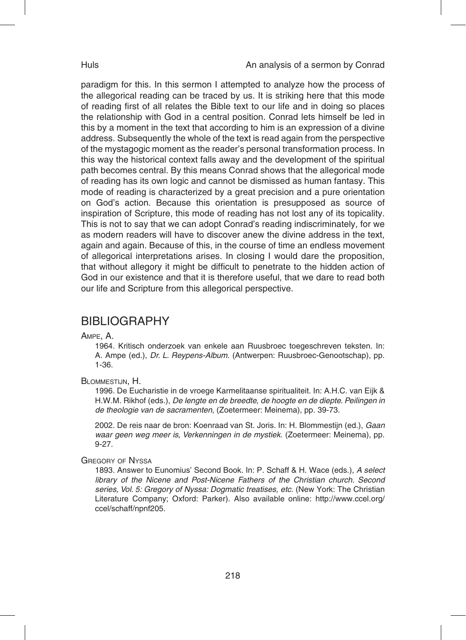paradigm for this. In this sermon I attempted to analyze how the process of the allegorical reading can be traced by us. It is striking here that this mode of reading first of all relates the Bible text to our life and in doing so places the relationship with God in a central position. Conrad lets himself be led in this by a moment in the text that according to him is an expression of a divine address. Subsequently the whole of the text is read again from the perspective of the mystagogic moment as the reader's personal transformation process. In this way the historical context falls away and the development of the spiritual path becomes central. By this means Conrad shows that the allegorical mode of reading has its own logic and cannot be dismissed as human fantasy. This mode of reading is characterized by a great precision and a pure orientation on God's action. Because this orientation is presupposed as source of inspiration of Scripture, this mode of reading has not lost any of its topicality. This is not to say that we can adopt Conrad's reading indiscriminately, for we as modern readers will have to discover anew the divine address in the text, again and again. Because of this, in the course of time an endless movement of allegorical interpretations arises. In closing I would dare the proposition, that without allegory it might be difficult to penetrate to the hidden action of God in our existence and that it is therefore useful, that we dare to read both our life and Scripture from this allegorical perspective.

## BIBLIOGRAPHY

#### Ampe, A.

1964. Kritisch onderzoek van enkele aan Ruusbroec toegeschreven teksten. In: A. Ampe (ed.), *Dr. L. Reypens-Album*. (Antwerpen: Ruusbroec-Genootschap), pp. 1-36.

#### Blommestijn, H.

1996. De Eucharistie in de vroege Karmelitaanse spiritualiteit. In: A.H.C. van Eijk & H.W.M. Rikhof (eds.), *De lengte en de breedte, de hoogte en de diepte. Peilingen in de theologie van de sacramenten*, (Zoetermeer: Meinema), pp. 39-73.

2002. De reis naar de bron: Koenraad van St. Joris. In: H. Blommestijn (ed.), *Gaan waar geen weg meer is, Verkenningen in de mystiek*. (Zoetermeer: Meinema), pp. 9-27.

#### Gregory of Nyssa

1893. Answer to Eunomius' Second Book. In: P. Schaff & H. Wace (eds.), *A select library of the Nicene and Post-Nicene Fathers of the Christian church. Second series, Vol. 5: Gregory of Nyssa: Dogmatic treatises, etc.* (New York: The Christian Literature Company; Oxford: Parker). Also available online: http://www.ccel.org/ ccel/schaff/npnf205.